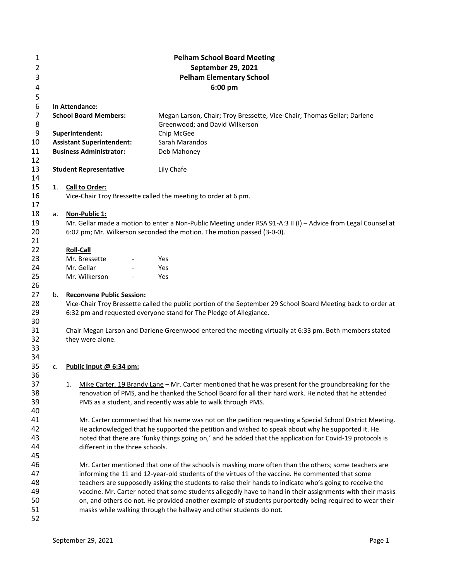| 1        |    |                                  | <b>Pelham School Board Meeting</b>                                                                            |  |  |  |
|----------|----|----------------------------------|---------------------------------------------------------------------------------------------------------------|--|--|--|
| 2        |    | September 29, 2021               |                                                                                                               |  |  |  |
| 3        |    | <b>Pelham Elementary School</b>  |                                                                                                               |  |  |  |
| 4        |    |                                  | 6:00 pm                                                                                                       |  |  |  |
| 5        |    |                                  |                                                                                                               |  |  |  |
| 6        |    | In Attendance:                   |                                                                                                               |  |  |  |
| 7        |    | <b>School Board Members:</b>     | Megan Larson, Chair; Troy Bressette, Vice-Chair; Thomas Gellar; Darlene                                       |  |  |  |
| 8        |    |                                  | Greenwood; and David Wilkerson                                                                                |  |  |  |
| 9        |    | Superintendent:                  | Chip McGee                                                                                                    |  |  |  |
| 10       |    | <b>Assistant Superintendent:</b> | Sarah Marandos                                                                                                |  |  |  |
| 11       |    | <b>Business Administrator:</b>   | Deb Mahoney                                                                                                   |  |  |  |
| 12       |    |                                  |                                                                                                               |  |  |  |
| 13<br>14 |    | <b>Student Representative</b>    | Lily Chafe                                                                                                    |  |  |  |
| 15       |    | 1. Call to Order:                |                                                                                                               |  |  |  |
| 16       |    |                                  | Vice-Chair Troy Bressette called the meeting to order at 6 pm.                                                |  |  |  |
| 17       |    |                                  |                                                                                                               |  |  |  |
| 18       | а. | Non-Public 1:                    |                                                                                                               |  |  |  |
| 19       |    |                                  | Mr. Gellar made a motion to enter a Non-Public Meeting under RSA 91-A:3 II (I) - Advice from Legal Counsel at |  |  |  |
| 20       |    |                                  | 6:02 pm; Mr. Wilkerson seconded the motion. The motion passed (3-0-0).                                        |  |  |  |
| 21       |    |                                  |                                                                                                               |  |  |  |
| 22       |    | <b>Roll-Call</b>                 |                                                                                                               |  |  |  |
| 23       |    | Mr. Bressette                    | Yes                                                                                                           |  |  |  |
| 24       |    | Mr. Gellar                       | Yes                                                                                                           |  |  |  |
| 25       |    | Mr. Wilkerson                    | Yes                                                                                                           |  |  |  |
| 26<br>27 | b. | <b>Reconvene Public Session:</b> |                                                                                                               |  |  |  |
| 28       |    |                                  | Vice-Chair Troy Bressette called the public portion of the September 29 School Board Meeting back to order at |  |  |  |
| 29       |    |                                  | 6:32 pm and requested everyone stand for The Pledge of Allegiance.                                            |  |  |  |
| 30       |    |                                  |                                                                                                               |  |  |  |
| 31       |    |                                  | Chair Megan Larson and Darlene Greenwood entered the meeting virtually at 6:33 pm. Both members stated        |  |  |  |
| 32       |    | they were alone.                 |                                                                                                               |  |  |  |
| 33       |    |                                  |                                                                                                               |  |  |  |
| 34       |    |                                  |                                                                                                               |  |  |  |
| 35       | c. | Public Input @ 6:34 pm:          |                                                                                                               |  |  |  |
| 36       |    |                                  |                                                                                                               |  |  |  |
| 37       |    | 1.                               | Mike Carter, 19 Brandy Lane - Mr. Carter mentioned that he was present for the groundbreaking for the         |  |  |  |
| 38       |    |                                  | renovation of PMS, and he thanked the School Board for all their hard work. He noted that he attended         |  |  |  |
| 39<br>40 |    |                                  | PMS as a student, and recently was able to walk through PMS.                                                  |  |  |  |
| 41       |    |                                  | Mr. Carter commented that his name was not on the petition requesting a Special School District Meeting.      |  |  |  |
| 42       |    |                                  | He acknowledged that he supported the petition and wished to speak about why he supported it. He              |  |  |  |
| 43       |    |                                  | noted that there are 'funky things going on,' and he added that the application for Covid-19 protocols is     |  |  |  |
| 44       |    | different in the three schools.  |                                                                                                               |  |  |  |
| 45       |    |                                  |                                                                                                               |  |  |  |
| 46       |    |                                  | Mr. Carter mentioned that one of the schools is masking more often than the others; some teachers are         |  |  |  |
| 47       |    |                                  | informing the 11 and 12-year-old students of the virtues of the vaccine. He commented that some               |  |  |  |
| 48       |    |                                  | teachers are supposedly asking the students to raise their hands to indicate who's going to receive the       |  |  |  |
| 49       |    |                                  | vaccine. Mr. Carter noted that some students allegedly have to hand in their assignments with their masks     |  |  |  |
| 50       |    |                                  | on, and others do not. He provided another example of students purportedly being required to wear their       |  |  |  |
| 51       |    |                                  | masks while walking through the hallway and other students do not.                                            |  |  |  |
| 52       |    |                                  |                                                                                                               |  |  |  |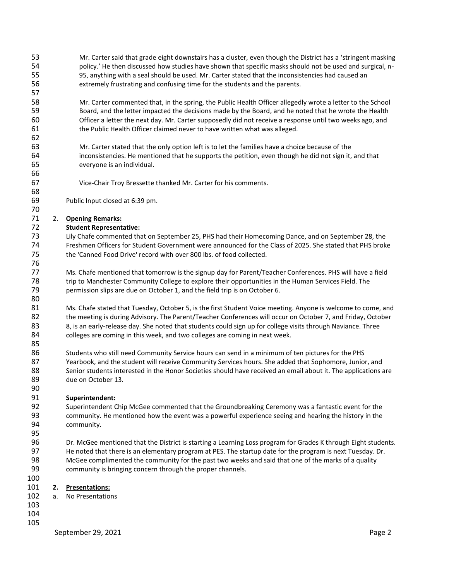| 53<br>54 |    | Mr. Carter said that grade eight downstairs has a cluster, even though the District has a 'stringent masking<br>policy.' He then discussed how studies have shown that specific masks should not be used and surgical, n- |
|----------|----|---------------------------------------------------------------------------------------------------------------------------------------------------------------------------------------------------------------------------|
| 55       |    |                                                                                                                                                                                                                           |
| 56       |    | 95, anything with a seal should be used. Mr. Carter stated that the inconsistencies had caused an<br>extremely frustrating and confusing time for the students and the parents.                                           |
| 57       |    |                                                                                                                                                                                                                           |
|          |    |                                                                                                                                                                                                                           |
| 58       |    | Mr. Carter commented that, in the spring, the Public Health Officer allegedly wrote a letter to the School                                                                                                                |
| 59       |    | Board, and the letter impacted the decisions made by the Board, and he noted that he wrote the Health                                                                                                                     |
| 60       |    | Officer a letter the next day. Mr. Carter supposedly did not receive a response until two weeks ago, and                                                                                                                  |
| 61       |    | the Public Health Officer claimed never to have written what was alleged.                                                                                                                                                 |
| 62       |    |                                                                                                                                                                                                                           |
| 63       |    | Mr. Carter stated that the only option left is to let the families have a choice because of the                                                                                                                           |
| 64       |    | inconsistencies. He mentioned that he supports the petition, even though he did not sign it, and that                                                                                                                     |
| 65       |    | everyone is an individual.                                                                                                                                                                                                |
| 66       |    |                                                                                                                                                                                                                           |
| 67       |    | Vice-Chair Troy Bressette thanked Mr. Carter for his comments.                                                                                                                                                            |
| 68       |    |                                                                                                                                                                                                                           |
| 69       |    | Public Input closed at 6:39 pm.                                                                                                                                                                                           |
| 70       |    |                                                                                                                                                                                                                           |
| 71       | 2. | <b>Opening Remarks:</b>                                                                                                                                                                                                   |
| 72       |    | <b>Student Representative:</b>                                                                                                                                                                                            |
| 73       |    | Lily Chafe commented that on September 25, PHS had their Homecoming Dance, and on September 28, the                                                                                                                       |
| 74       |    | Freshmen Officers for Student Government were announced for the Class of 2025. She stated that PHS broke                                                                                                                  |
| 75       |    | the 'Canned Food Drive' record with over 800 lbs. of food collected.                                                                                                                                                      |
| 76       |    |                                                                                                                                                                                                                           |
| 77       |    | Ms. Chafe mentioned that tomorrow is the signup day for Parent/Teacher Conferences. PHS will have a field                                                                                                                 |
| 78       |    | trip to Manchester Community College to explore their opportunities in the Human Services Field. The                                                                                                                      |
| 79       |    | permission slips are due on October 1, and the field trip is on October 6.                                                                                                                                                |
| 80       |    |                                                                                                                                                                                                                           |
| 81       |    | Ms. Chafe stated that Tuesday, October 5, is the first Student Voice meeting. Anyone is welcome to come, and                                                                                                              |
| 82       |    | the meeting is during Advisory. The Parent/Teacher Conferences will occur on October 7, and Friday, October                                                                                                               |
| 83       |    | 8, is an early-release day. She noted that students could sign up for college visits through Naviance. Three                                                                                                              |
| 84       |    | colleges are coming in this week, and two colleges are coming in next week.                                                                                                                                               |
| 85       |    |                                                                                                                                                                                                                           |
| 86       |    | Students who still need Community Service hours can send in a minimum of ten pictures for the PHS                                                                                                                         |
| 87       |    | Yearbook, and the student will receive Community Services hours. She added that Sophomore, Junior, and                                                                                                                    |
| 88       |    | Senior students interested in the Honor Societies should have received an email about it. The applications are                                                                                                            |
| 89       |    | due on October 13.                                                                                                                                                                                                        |
| 90       |    |                                                                                                                                                                                                                           |
| 91       |    | Superintendent:                                                                                                                                                                                                           |
| 92       |    | Superintendent Chip McGee commented that the Groundbreaking Ceremony was a fantastic event for the                                                                                                                        |
| 93       |    | community. He mentioned how the event was a powerful experience seeing and hearing the history in the                                                                                                                     |
| 94       |    | community.                                                                                                                                                                                                                |
| 95       |    |                                                                                                                                                                                                                           |
| 96       |    | Dr. McGee mentioned that the District is starting a Learning Loss program for Grades K through Eight students.                                                                                                            |
| 97       |    | He noted that there is an elementary program at PES. The startup date for the program is next Tuesday. Dr.                                                                                                                |
| 98       |    | McGee complimented the community for the past two weeks and said that one of the marks of a quality                                                                                                                       |
| 99       |    | community is bringing concern through the proper channels.                                                                                                                                                                |
| 100      |    |                                                                                                                                                                                                                           |
| 101      | 2. | <b>Presentations:</b>                                                                                                                                                                                                     |
| 102      |    | No Presentations                                                                                                                                                                                                          |
| 103      | a. |                                                                                                                                                                                                                           |
| 104      |    |                                                                                                                                                                                                                           |
| 105      |    |                                                                                                                                                                                                                           |
|          |    |                                                                                                                                                                                                                           |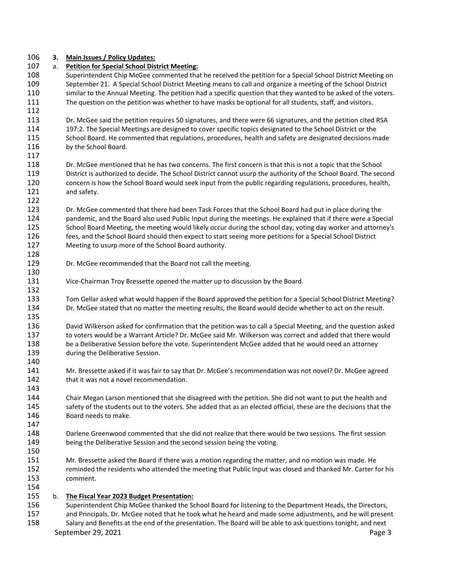## **3. Main Issues / Policy Updates:**

| 107 | а. | <b>Petition for Special School District Meeting:</b>                                                                                                                                                                  |
|-----|----|-----------------------------------------------------------------------------------------------------------------------------------------------------------------------------------------------------------------------|
| 108 |    | Superintendent Chip McGee commented that he received the petition for a Special School District Meeting on                                                                                                            |
| 109 |    | September 21. A Special School District Meeting means to call and organize a meeting of the School District                                                                                                           |
| 110 |    | similar to the Annual Meeting. The petition had a specific question that they wanted to be asked of the voters.                                                                                                       |
| 111 |    | The question on the petition was whether to have masks be optional for all students, staff, and visitors.                                                                                                             |
| 112 |    |                                                                                                                                                                                                                       |
| 113 |    | Dr. McGee said the petition requires 50 signatures, and there were 66 signatures, and the petition cited RSA                                                                                                          |
| 114 |    | 197:2. The Special Meetings are designed to cover specific topics designated to the School District or the                                                                                                            |
| 115 |    | School Board. He commented that regulations, procedures, health and safety are designated decisions made                                                                                                              |
| 116 |    | by the School Board.                                                                                                                                                                                                  |
| 117 |    |                                                                                                                                                                                                                       |
| 118 |    | Dr. McGee mentioned that he has two concerns. The first concern is that this is not a topic that the School                                                                                                           |
| 119 |    | District is authorized to decide. The School District cannot usurp the authority of the School Board. The second                                                                                                      |
| 120 |    | concern is how the School Board would seek input from the public regarding regulations, procedures, health,                                                                                                           |
| 121 |    | and safety.                                                                                                                                                                                                           |
| 122 |    |                                                                                                                                                                                                                       |
| 123 |    | Dr. McGee commented that there had been Task Forces that the School Board had put in place during the                                                                                                                 |
| 124 |    | pandemic, and the Board also used Public Input during the meetings. He explained that if there were a Special                                                                                                         |
| 125 |    | School Board Meeting, the meeting would likely occur during the school day, voting day worker and attorney's                                                                                                          |
| 126 |    | fees, and the School Board should then expect to start seeing more petitions for a Special School District                                                                                                            |
| 127 |    | Meeting to usurp more of the School Board authority.                                                                                                                                                                  |
| 128 |    |                                                                                                                                                                                                                       |
| 129 |    | Dr. McGee recommended that the Board not call the meeting.                                                                                                                                                            |
| 130 |    |                                                                                                                                                                                                                       |
| 131 |    | Vice-Chairman Troy Bressette opened the matter up to discussion by the Board.                                                                                                                                         |
| 132 |    |                                                                                                                                                                                                                       |
| 133 |    | Tom Gellar asked what would happen if the Board approved the petition for a Special School District Meeting?                                                                                                          |
| 134 |    | Dr. McGee stated that no matter the meeting results, the Board would decide whether to act on the result.                                                                                                             |
| 135 |    |                                                                                                                                                                                                                       |
| 136 |    | David Wilkerson asked for confirmation that the petition was to call a Special Meeting, and the question asked                                                                                                        |
| 137 |    | to voters would be a Warrant Article? Dr. McGee said Mr. Wilkerson was correct and added that there would                                                                                                             |
| 138 |    | be a Deliberative Session before the vote. Superintendent McGee added that he would need an attorney                                                                                                                  |
| 139 |    | during the Deliberative Session.                                                                                                                                                                                      |
| 140 |    |                                                                                                                                                                                                                       |
| 141 |    | Mr. Bressette asked if it was fair to say that Dr. McGee's recommendation was not novel? Dr. McGee agreed                                                                                                             |
| 142 |    | that it was not a novel recommendation.                                                                                                                                                                               |
| 143 |    |                                                                                                                                                                                                                       |
| 144 |    | Chair Megan Larson mentioned that she disagreed with the petition. She did not want to put the health and                                                                                                             |
| 145 |    | safety of the students out to the voters. She added that as an elected official, these are the decisions that the                                                                                                     |
| 146 |    | Board needs to make.                                                                                                                                                                                                  |
| 147 |    |                                                                                                                                                                                                                       |
| 148 |    | Darlene Greenwood commented that she did not realize that there would be two sessions. The first session                                                                                                              |
| 149 |    | being the Deliberative Session and the second session being the voting.                                                                                                                                               |
| 150 |    |                                                                                                                                                                                                                       |
| 151 |    | Mr. Bressette asked the Board if there was a motion regarding the matter, and no motion was made. He                                                                                                                  |
| 152 |    | reminded the residents who attended the meeting that Public Input was closed and thanked Mr. Carter for his                                                                                                           |
| 153 |    |                                                                                                                                                                                                                       |
| 154 |    | comment.                                                                                                                                                                                                              |
| 155 |    |                                                                                                                                                                                                                       |
| 156 | b. | The Fiscal Year 2023 Budget Presentation:                                                                                                                                                                             |
| 157 |    | Superintendent Chip McGee thanked the School Board for listening to the Department Heads, the Directors,<br>and Principals. Dr. McGee noted that he took what he heard and made some adjustments, and he will present |
| 158 |    | Salary and Benefits at the end of the presentation. The Board will be able to ask questions tonight, and next                                                                                                         |
|     |    |                                                                                                                                                                                                                       |
|     |    | September 29, 2021<br>Page 3                                                                                                                                                                                          |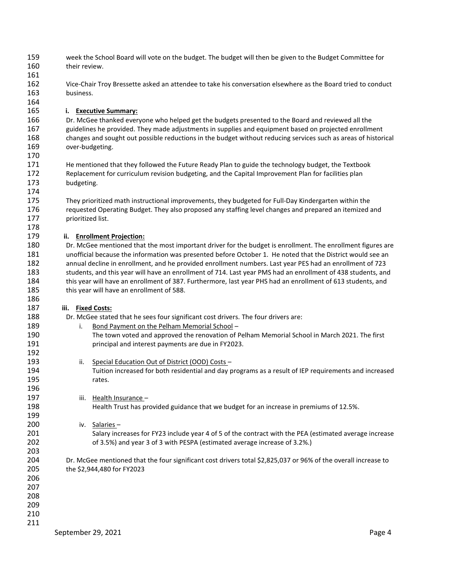- week the School Board will vote on the budget. The budget will then be given to the Budget Committee for their review.
- Vice-Chair Troy Bressette asked an attendee to take his conversation elsewhere as the Board tried to conduct business.

### **i. Executive Summary:**

 Dr. McGee thanked everyone who helped get the budgets presented to the Board and reviewed all the guidelines he provided. They made adjustments in supplies and equipment based on projected enrollment changes and sought out possible reductions in the budget without reducing services such as areas of historical over-budgeting.

- He mentioned that they followed the Future Ready Plan to guide the technology budget, the Textbook Replacement for curriculum revision budgeting, and the Capital Improvement Plan for facilities plan budgeting.
- They prioritized math instructional improvements, they budgeted for Full-Day Kindergarten within the requested Operating Budget. They also proposed any staffing level changes and prepared an itemized and prioritized list.

### **ii. Enrollment Projection:**

 Dr. McGee mentioned that the most important driver for the budget is enrollment. The enrollment figures are unofficial because the information was presented before October 1. He noted that the District would see an annual decline in enrollment, and he provided enrollment numbers. Last year PES had an enrollment of 723 students, and this year will have an enrollment of 714. Last year PMS had an enrollment of 438 students, and this year will have an enrollment of 387. Furthermore, last year PHS had an enrollment of 613 students, and 185 this year will have an enrollment of 588.

### **iii. Fixed Costs:**

Dr. McGee stated that he sees four significant cost drivers. The four drivers are:

- 189 i. Bond Payment on the Pelham Memorial School - The town voted and approved the renovation of Pelham Memorial School in March 2021. The first principal and interest payments are due in FY2023. 193 ii. Special Education Out of District (OOD) Costs –
- Tuition increased for both residential and day programs as a result of IEP requirements and increased 195 rates.
- iii. Health Insurance Health Trust has provided guidance that we budget for an increase in premiums of 12.5%.

# iv. Salaries –

 Salary increases for FY23 include year 4 of 5 of the contract with the PEA (estimated average increase of 3.5%) and year 3 of 3 with PESPA (estimated average increase of 3.2%.)

 Dr. McGee mentioned that the four significant cost drivers total \$2,825,037 or 96% of the overall increase to the \$2,944,480 for FY2023

- 
- 
- 
- 
-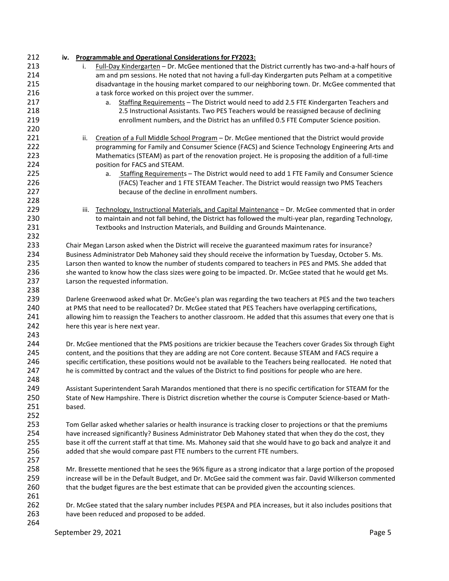| 212 | iv.    |      | <b>Programmable and Operational Considerations for FY2023:</b>                                                  |  |
|-----|--------|------|-----------------------------------------------------------------------------------------------------------------|--|
| 213 |        | i.   | Full-Day Kindergarten - Dr. McGee mentioned that the District currently has two-and-a-half hours of             |  |
| 214 |        |      | am and pm sessions. He noted that not having a full-day Kindergarten puts Pelham at a competitive               |  |
| 215 |        |      | disadvantage in the housing market compared to our neighboring town. Dr. McGee commented that                   |  |
| 216 |        |      | a task force worked on this project over the summer.                                                            |  |
| 217 |        |      | Staffing Requirements - The District would need to add 2.5 FTE Kindergarten Teachers and<br>а.                  |  |
| 218 |        |      | 2.5 Instructional Assistants. Two PES Teachers would be reassigned because of declining                         |  |
| 219 |        |      | enrollment numbers, and the District has an unfilled 0.5 FTE Computer Science position.                         |  |
| 220 |        |      |                                                                                                                 |  |
| 221 |        | ii.  | Creation of a Full Middle School Program - Dr. McGee mentioned that the District would provide                  |  |
| 222 |        |      | programming for Family and Consumer Science (FACS) and Science Technology Engineering Arts and                  |  |
| 223 |        |      | Mathematics (STEAM) as part of the renovation project. He is proposing the addition of a full-time              |  |
| 224 |        |      | position for FACS and STEAM.                                                                                    |  |
| 225 |        |      | Staffing Requirements - The District would need to add 1 FTE Family and Consumer Science<br>а.                  |  |
| 226 |        |      | (FACS) Teacher and 1 FTE STEAM Teacher. The District would reassign two PMS Teachers                            |  |
| 227 |        |      | because of the decline in enrollment numbers.                                                                   |  |
| 228 |        |      |                                                                                                                 |  |
| 229 |        | iii. | Technology, Instructional Materials, and Capital Maintenance - Dr. McGee commented that in order                |  |
| 230 |        |      | to maintain and not fall behind, the District has followed the multi-year plan, regarding Technology,           |  |
| 231 |        |      | Textbooks and Instruction Materials, and Building and Grounds Maintenance.                                      |  |
| 232 |        |      |                                                                                                                 |  |
| 233 |        |      | Chair Megan Larson asked when the District will receive the guaranteed maximum rates for insurance?             |  |
| 234 |        |      | Business Administrator Deb Mahoney said they should receive the information by Tuesday, October 5. Ms.          |  |
| 235 |        |      | Larson then wanted to know the number of students compared to teachers in PES and PMS. She added that           |  |
| 236 |        |      | she wanted to know how the class sizes were going to be impacted. Dr. McGee stated that he would get Ms.        |  |
| 237 |        |      | Larson the requested information.                                                                               |  |
| 238 |        |      |                                                                                                                 |  |
| 239 |        |      | Darlene Greenwood asked what Dr. McGee's plan was regarding the two teachers at PES and the two teachers        |  |
| 240 |        |      | at PMS that need to be reallocated? Dr. McGee stated that PES Teachers have overlapping certifications,         |  |
| 241 |        |      | allowing him to reassign the Teachers to another classroom. He added that this assumes that every one that is   |  |
| 242 |        |      | here this year is here next year.                                                                               |  |
| 243 |        |      |                                                                                                                 |  |
| 244 |        |      | Dr. McGee mentioned that the PMS positions are trickier because the Teachers cover Grades Six through Eight     |  |
| 245 |        |      | content, and the positions that they are adding are not Core content. Because STEAM and FACS require a          |  |
| 246 |        |      | specific certification, these positions would not be available to the Teachers being reallocated. He noted that |  |
| 247 |        |      | he is committed by contract and the values of the District to find positions for people who are here.           |  |
| 248 |        |      |                                                                                                                 |  |
| 249 |        |      | Assistant Superintendent Sarah Marandos mentioned that there is no specific certification for STEAM for the     |  |
| 250 |        |      | State of New Hampshire. There is District discretion whether the course is Computer Science-based or Math-      |  |
| 251 | based. |      |                                                                                                                 |  |
| 252 |        |      |                                                                                                                 |  |
| 253 |        |      | Tom Gellar asked whether salaries or health insurance is tracking closer to projections or that the premiums    |  |
| 254 |        |      | have increased significantly? Business Administrator Deb Mahoney stated that when they do the cost, they        |  |
| 255 |        |      | base it off the current staff at that time. Ms. Mahoney said that she would have to go back and analyze it and  |  |
| 256 |        |      | added that she would compare past FTE numbers to the current FTE numbers.                                       |  |
| 257 |        |      |                                                                                                                 |  |
| 258 |        |      | Mr. Bressette mentioned that he sees the 96% figure as a strong indicator that a large portion of the proposed  |  |
| 259 |        |      | increase will be in the Default Budget, and Dr. McGee said the comment was fair. David Wilkerson commented      |  |
| 260 |        |      | that the budget figures are the best estimate that can be provided given the accounting sciences.               |  |
| 261 |        |      |                                                                                                                 |  |
| 262 |        |      | Dr. McGee stated that the salary number includes PESPA and PEA increases, but it also includes positions that   |  |
| 263 |        |      | have been reduced and proposed to be added.                                                                     |  |
| 264 |        |      |                                                                                                                 |  |
|     |        |      | September 29, 2021<br>Page 5                                                                                    |  |
|     |        |      |                                                                                                                 |  |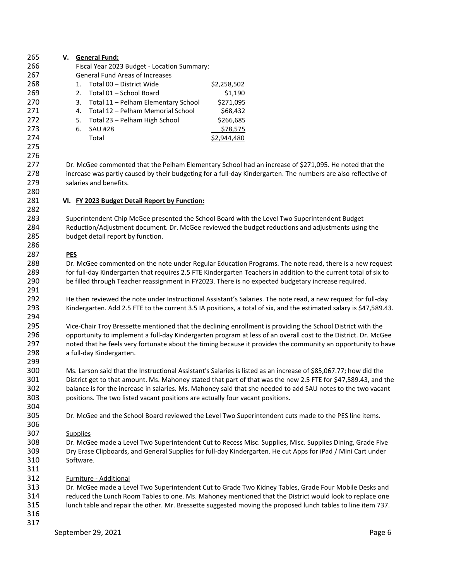| 265                      | V. General Fund:                                                                                                                                                                                                                                 |
|--------------------------|--------------------------------------------------------------------------------------------------------------------------------------------------------------------------------------------------------------------------------------------------|
| 266                      | Fiscal Year 2023 Budget - Location Summary:                                                                                                                                                                                                      |
| 267                      | <b>General Fund Areas of Increases</b>                                                                                                                                                                                                           |
| 268                      | Total 00 - District Wide<br>\$2,258,502<br>1.                                                                                                                                                                                                    |
| 269                      | Total 01 - School Board<br>\$1,190<br>2.                                                                                                                                                                                                         |
| 270                      | Total 11 - Pelham Elementary School<br>\$271,095<br>3.                                                                                                                                                                                           |
| 271                      | Total 12 - Pelham Memorial School<br>\$68,432<br>4.                                                                                                                                                                                              |
| 272                      | Total 23 - Pelham High School<br>\$266,685<br>5.                                                                                                                                                                                                 |
| 273                      | \$78,575<br>6.<br><b>SAU #28</b>                                                                                                                                                                                                                 |
| 274                      | Total<br>\$2,944,480                                                                                                                                                                                                                             |
| 275<br>276               |                                                                                                                                                                                                                                                  |
| 277<br>278<br>279<br>280 | Dr. McGee commented that the Pelham Elementary School had an increase of \$271,095. He noted that the<br>increase was partly caused by their budgeting for a full-day Kindergarten. The numbers are also reflective of<br>salaries and benefits. |
| 281                      | VI. FY 2023 Budget Detail Report by Function:                                                                                                                                                                                                    |
| 282<br>283               | Superintendent Chip McGee presented the School Board with the Level Two Superintendent Budget                                                                                                                                                    |
| 284                      | Reduction/Adjustment document. Dr. McGee reviewed the budget reductions and adjustments using the                                                                                                                                                |
| 285                      | budget detail report by function.                                                                                                                                                                                                                |
| 286                      |                                                                                                                                                                                                                                                  |
| 287                      | <b>PES</b>                                                                                                                                                                                                                                       |
| 288                      | Dr. McGee commented on the note under Regular Education Programs. The note read, there is a new request                                                                                                                                          |
| 289                      | for full-day Kindergarten that requires 2.5 FTE Kindergarten Teachers in addition to the current total of six to                                                                                                                                 |
| 290                      | be filled through Teacher reassignment in FY2023. There is no expected budgetary increase required.                                                                                                                                              |
| 291                      |                                                                                                                                                                                                                                                  |
| 292                      | He then reviewed the note under Instructional Assistant's Salaries. The note read, a new request for full-day                                                                                                                                    |
| 293                      | Kindergarten. Add 2.5 FTE to the current 3.5 IA positions, a total of six, and the estimated salary is \$47,589.43.                                                                                                                              |
| 294                      |                                                                                                                                                                                                                                                  |
| 295                      | Vice-Chair Troy Bressette mentioned that the declining enrollment is providing the School District with the                                                                                                                                      |
| 296                      | opportunity to implement a full-day Kindergarten program at less of an overall cost to the District. Dr. McGee                                                                                                                                   |
| 297                      | noted that he feels very fortunate about the timing because it provides the community an opportunity to have                                                                                                                                     |
| 298                      | a full-day Kindergarten.                                                                                                                                                                                                                         |
| 299                      |                                                                                                                                                                                                                                                  |
| 300                      | Ms. Larson said that the Instructional Assistant's Salaries is listed as an increase of \$85,067.77; how did the                                                                                                                                 |
| 301                      | District get to that amount. Ms. Mahoney stated that part of that was the new 2.5 FTE for \$47,589.43, and the                                                                                                                                   |
| 302                      | balance is for the increase in salaries. Ms. Mahoney said that she needed to add SAU notes to the two vacant                                                                                                                                     |
| 303                      | positions. The two listed vacant positions are actually four vacant positions.                                                                                                                                                                   |
| 304                      |                                                                                                                                                                                                                                                  |
| 305                      | Dr. McGee and the School Board reviewed the Level Two Superintendent cuts made to the PES line items.                                                                                                                                            |
| 306                      |                                                                                                                                                                                                                                                  |
| 307                      | <b>Supplies</b>                                                                                                                                                                                                                                  |
| 308                      | Dr. McGee made a Level Two Superintendent Cut to Recess Misc. Supplies, Misc. Supplies Dining, Grade Five                                                                                                                                        |
| 309                      | Dry Erase Clipboards, and General Supplies for full-day Kindergarten. He cut Apps for iPad / Mini Cart under                                                                                                                                     |
| 310                      | Software.                                                                                                                                                                                                                                        |
| 311                      |                                                                                                                                                                                                                                                  |
| 312                      | Furniture - Additional                                                                                                                                                                                                                           |
| 313                      | Dr. McGee made a Level Two Superintendent Cut to Grade Two Kidney Tables, Grade Four Mobile Desks and                                                                                                                                            |
| 314                      | reduced the Lunch Room Tables to one. Ms. Mahoney mentioned that the District would look to replace one                                                                                                                                          |
| 315                      | lunch table and repair the other. Mr. Bressette suggested moving the proposed lunch tables to line item 737.                                                                                                                                     |
| 316                      |                                                                                                                                                                                                                                                  |
| 317                      |                                                                                                                                                                                                                                                  |
|                          | September 29, 2021<br>Page 6                                                                                                                                                                                                                     |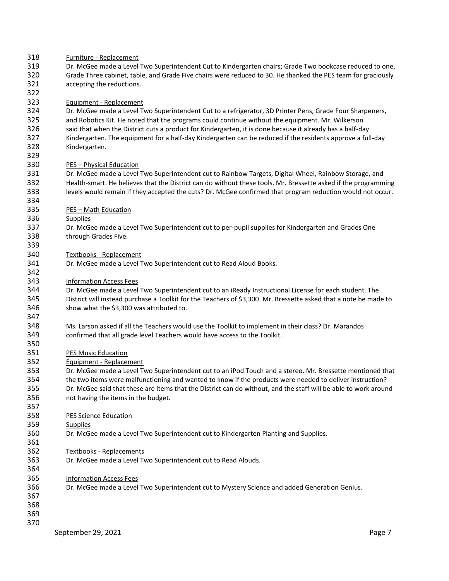| 318<br>319<br>320<br>321<br>322               | Furniture - Replacement<br>Dr. McGee made a Level Two Superintendent Cut to Kindergarten chairs; Grade Two bookcase reduced to one,<br>Grade Three cabinet, table, and Grade Five chairs were reduced to 30. He thanked the PES team for graciously<br>accepting the reductions.                                                                                                                                                                                                    |
|-----------------------------------------------|-------------------------------------------------------------------------------------------------------------------------------------------------------------------------------------------------------------------------------------------------------------------------------------------------------------------------------------------------------------------------------------------------------------------------------------------------------------------------------------|
| 323<br>324<br>325<br>326<br>327<br>328<br>329 | Equipment - Replacement<br>Dr. McGee made a Level Two Superintendent Cut to a refrigerator, 3D Printer Pens, Grade Four Sharpeners,<br>and Robotics Kit. He noted that the programs could continue without the equipment. Mr. Wilkerson<br>said that when the District cuts a product for Kindergarten, it is done because it already has a half-day<br>Kindergarten. The equipment for a half-day Kindergarten can be reduced if the residents approve a full-day<br>Kindergarten. |
| 330<br>331<br>332<br>333<br>334               | <b>PES - Physical Education</b><br>Dr. McGee made a Level Two Superintendent cut to Rainbow Targets, Digital Wheel, Rainbow Storage, and<br>Health-smart. He believes that the District can do without these tools. Mr. Bressette asked if the programming<br>levels would remain if they accepted the cuts? Dr. McGee confirmed that program reduction would not occur.                                                                                                            |
| 335<br>336<br>337<br>338                      | <b>PES - Math Education</b><br><b>Supplies</b><br>Dr. McGee made a Level Two Superintendent cut to per-pupil supplies for Kindergarten and Grades One<br>through Grades Five.                                                                                                                                                                                                                                                                                                       |
| 339<br>340<br>341<br>342                      | <b>Textbooks - Replacement</b><br>Dr. McGee made a Level Two Superintendent cut to Read Aloud Books.                                                                                                                                                                                                                                                                                                                                                                                |
| 343<br>344<br>345<br>346                      | <b>Information Access Fees</b><br>Dr. McGee made a Level Two Superintendent cut to an iReady Instructional License for each student. The<br>District will instead purchase a Toolkit for the Teachers of \$3,300. Mr. Bressette asked that a note be made to<br>show what the \$3,300 was attributed to.                                                                                                                                                                            |
| 347<br>348<br>349<br>350                      | Ms. Larson asked if all the Teachers would use the Toolkit to implement in their class? Dr. Marandos<br>confirmed that all grade level Teachers would have access to the Toolkit.                                                                                                                                                                                                                                                                                                   |
| 351<br>352<br>353<br>354<br>355<br>356        | <b>PES Music Education</b><br>Equipment - Replacement<br>Dr. McGee made a Level Two Superintendent cut to an iPod Touch and a stereo. Mr. Bressette mentioned that<br>the two items were malfunctioning and wanted to know if the products were needed to deliver instruction?<br>Dr. McGee said that these are items that the District can do without, and the staff will be able to work around<br>not having the items in the budget.                                            |
| 357<br>358<br>359<br>360<br>361               | <b>PES Science Education</b><br><b>Supplies</b><br>Dr. McGee made a Level Two Superintendent cut to Kindergarten Planting and Supplies.                                                                                                                                                                                                                                                                                                                                             |
| 362<br>363<br>364<br>365                      | <b>Textbooks - Replacements</b><br>Dr. McGee made a Level Two Superintendent cut to Read Alouds.<br><b>Information Access Fees</b>                                                                                                                                                                                                                                                                                                                                                  |
| 366<br>367<br>368<br>369<br>370               | Dr. McGee made a Level Two Superintendent cut to Mystery Science and added Generation Genius.                                                                                                                                                                                                                                                                                                                                                                                       |
|                                               | September 29, 2021<br>Page 7                                                                                                                                                                                                                                                                                                                                                                                                                                                        |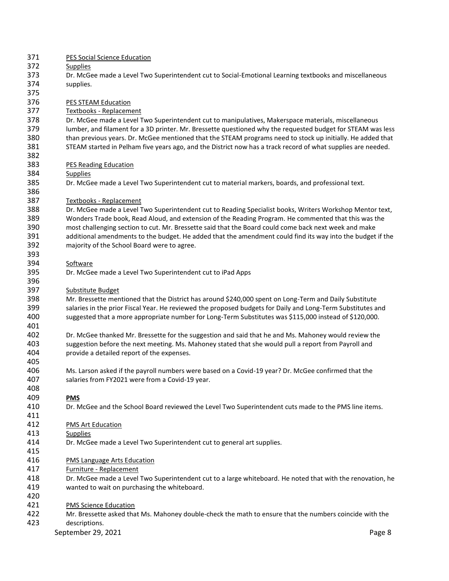| 371 | <b>PES Social Science Education</b>                                                                          |
|-----|--------------------------------------------------------------------------------------------------------------|
| 372 | <b>Supplies</b>                                                                                              |
| 373 | Dr. McGee made a Level Two Superintendent cut to Social-Emotional Learning textbooks and miscellaneous       |
| 374 | supplies.                                                                                                    |
| 375 |                                                                                                              |
| 376 | <b>PES STEAM Education</b>                                                                                   |
| 377 | Textbooks - Replacement                                                                                      |
| 378 | Dr. McGee made a Level Two Superintendent cut to manipulatives, Makerspace materials, miscellaneous          |
| 379 | lumber, and filament for a 3D printer. Mr. Bressette questioned why the requested budget for STEAM was less  |
| 380 | than previous years. Dr. McGee mentioned that the STEAM programs need to stock up initially. He added that   |
| 381 | STEAM started in Pelham five years ago, and the District now has a track record of what supplies are needed. |
| 382 |                                                                                                              |
| 383 | <b>PES Reading Education</b>                                                                                 |
| 384 | <b>Supplies</b>                                                                                              |
| 385 | Dr. McGee made a Level Two Superintendent cut to material markers, boards, and professional text.            |
| 386 |                                                                                                              |
| 387 | Textbooks - Replacement                                                                                      |
| 388 | Dr. McGee made a Level Two Superintendent cut to Reading Specialist books, Writers Workshop Mentor text,     |
| 389 | Wonders Trade book, Read Aloud, and extension of the Reading Program. He commented that this was the         |
| 390 | most challenging section to cut. Mr. Bressette said that the Board could come back next week and make        |
| 391 | additional amendments to the budget. He added that the amendment could find its way into the budget if the   |
| 392 | majority of the School Board were to agree.                                                                  |
| 393 |                                                                                                              |
| 394 | Software                                                                                                     |
| 395 | Dr. McGee made a Level Two Superintendent cut to iPad Apps                                                   |
| 396 |                                                                                                              |
| 397 | Substitute Budget                                                                                            |
| 398 | Mr. Bressette mentioned that the District has around \$240,000 spent on Long-Term and Daily Substitute       |
| 399 | salaries in the prior Fiscal Year. He reviewed the proposed budgets for Daily and Long-Term Substitutes and  |
| 400 | suggested that a more appropriate number for Long-Term Substitutes was \$115,000 instead of \$120,000.       |
| 401 |                                                                                                              |
| 402 | Dr. McGee thanked Mr. Bressette for the suggestion and said that he and Ms. Mahoney would review the         |
| 403 | suggestion before the next meeting. Ms. Mahoney stated that she would pull a report from Payroll and         |
| 404 | provide a detailed report of the expenses.                                                                   |
| 405 |                                                                                                              |
| 406 | Ms. Larson asked if the payroll numbers were based on a Covid-19 year? Dr. McGee confirmed that the          |
| 407 | salaries from FY2021 were from a Covid-19 year.                                                              |
| 408 |                                                                                                              |
| 409 | <b>PMS</b>                                                                                                   |
| 410 | Dr. McGee and the School Board reviewed the Level Two Superintendent cuts made to the PMS line items.        |
| 411 |                                                                                                              |
| 412 | <b>PMS Art Education</b>                                                                                     |
| 413 | <b>Supplies</b>                                                                                              |
| 414 | Dr. McGee made a Level Two Superintendent cut to general art supplies.                                       |
| 415 |                                                                                                              |
| 416 | <b>PMS Language Arts Education</b>                                                                           |
| 417 | Furniture - Replacement                                                                                      |
| 418 | Dr. McGee made a Level Two Superintendent cut to a large whiteboard. He noted that with the renovation, he   |
| 419 | wanted to wait on purchasing the whiteboard.                                                                 |
| 420 |                                                                                                              |
| 421 | <b>PMS Science Education</b>                                                                                 |
| 422 | Mr. Bressette asked that Ms. Mahoney double-check the math to ensure that the numbers coincide with the      |
| 423 | descriptions.                                                                                                |
|     | September 29, 2021<br>Page 8                                                                                 |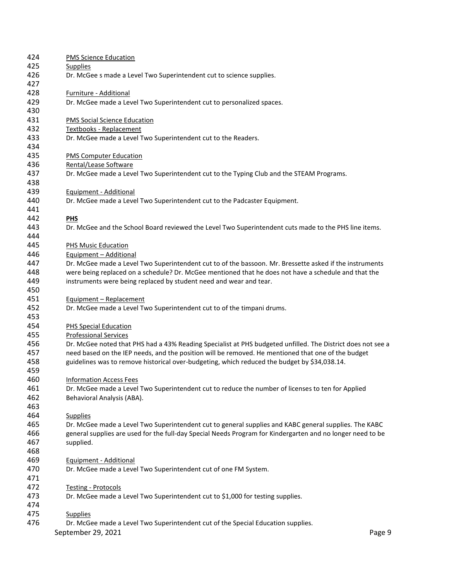| <b>PMS Science Education</b>                                                                                                        |
|-------------------------------------------------------------------------------------------------------------------------------------|
| <b>Supplies</b>                                                                                                                     |
| Dr. McGee s made a Level Two Superintendent cut to science supplies.                                                                |
| Furniture - Additional                                                                                                              |
| Dr. McGee made a Level Two Superintendent cut to personalized spaces.                                                               |
|                                                                                                                                     |
| <b>PMS Social Science Education</b>                                                                                                 |
| Textbooks - Replacement                                                                                                             |
| Dr. McGee made a Level Two Superintendent cut to the Readers.                                                                       |
|                                                                                                                                     |
| <b>PMS Computer Education</b>                                                                                                       |
| Rental/Lease Software                                                                                                               |
| Dr. McGee made a Level Two Superintendent cut to the Typing Club and the STEAM Programs.                                            |
| Equipment - Additional                                                                                                              |
| Dr. McGee made a Level Two Superintendent cut to the Padcaster Equipment.                                                           |
|                                                                                                                                     |
| <b>PHS</b>                                                                                                                          |
| Dr. McGee and the School Board reviewed the Level Two Superintendent cuts made to the PHS line items.                               |
|                                                                                                                                     |
| PHS Music Education                                                                                                                 |
| Equipment - Additional                                                                                                              |
| Dr. McGee made a Level Two Superintendent cut to of the bassoon. Mr. Bressette asked if the instruments                             |
| were being replaced on a schedule? Dr. McGee mentioned that he does not have a schedule and that the                                |
| instruments were being replaced by student need and wear and tear.                                                                  |
| Equipment - Replacement                                                                                                             |
| Dr. McGee made a Level Two Superintendent cut to of the timpani drums.                                                              |
|                                                                                                                                     |
| <b>PHS Special Education</b>                                                                                                        |
| <b>Professional Services</b>                                                                                                        |
| Dr. McGee noted that PHS had a 43% Reading Specialist at PHS budgeted unfilled. The District does not see a                         |
| need based on the IEP needs, and the position will be removed. He mentioned that one of the budget                                  |
| guidelines was to remove historical over-budgeting, which reduced the budget by \$34,038.14.                                        |
|                                                                                                                                     |
| <b>Information Access Fees</b><br>Dr. McGee made a Level Two Superintendent cut to reduce the number of licenses to ten for Applied |
| Behavioral Analysis (ABA).                                                                                                          |
|                                                                                                                                     |
| <b>Supplies</b>                                                                                                                     |
| Dr. McGee made a Level Two Superintendent cut to general supplies and KABC general supplies. The KABC                               |
| general supplies are used for the full-day Special Needs Program for Kindergarten and no longer need to be                          |
| supplied.                                                                                                                           |
|                                                                                                                                     |
| Equipment - Additional                                                                                                              |
| Dr. McGee made a Level Two Superintendent cut of one FM System.                                                                     |
|                                                                                                                                     |
| <b>Testing - Protocols</b>                                                                                                          |
| Dr. McGee made a Level Two Superintendent cut to \$1,000 for testing supplies.                                                      |
| <b>Supplies</b>                                                                                                                     |
| Dr. McGee made a Level Two Superintendent cut of the Special Education supplies.                                                    |
| September 29, 2021<br>Page 9                                                                                                        |
|                                                                                                                                     |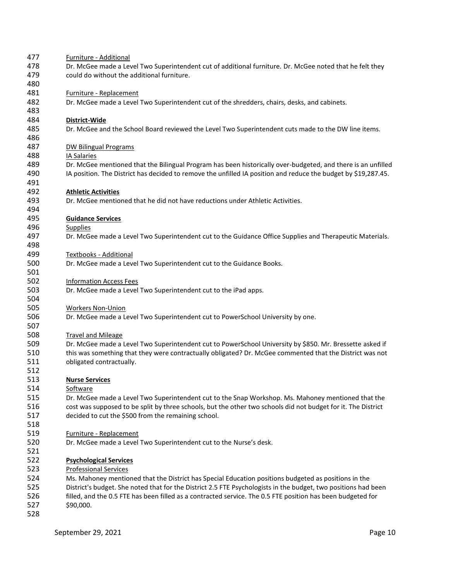| 477        | Furniture - Additional                                                                                         |
|------------|----------------------------------------------------------------------------------------------------------------|
| 478        | Dr. McGee made a Level Two Superintendent cut of additional furniture. Dr. McGee noted that he felt they       |
| 479        | could do without the additional furniture.                                                                     |
| 480        |                                                                                                                |
| 481        | Furniture - Replacement                                                                                        |
| 482        | Dr. McGee made a Level Two Superintendent cut of the shredders, chairs, desks, and cabinets.                   |
| 483        |                                                                                                                |
| 484        | District-Wide                                                                                                  |
| 485        | Dr. McGee and the School Board reviewed the Level Two Superintendent cuts made to the DW line items.           |
| 486        |                                                                                                                |
| 487        | <b>DW Bilingual Programs</b>                                                                                   |
| 488        | IA Salaries                                                                                                    |
| 489        | Dr. McGee mentioned that the Bilingual Program has been historically over-budgeted, and there is an unfilled   |
| 490        | IA position. The District has decided to remove the unfilled IA position and reduce the budget by \$19,287.45. |
| 491        |                                                                                                                |
| 492        | <b>Athletic Activities</b>                                                                                     |
| 493        | Dr. McGee mentioned that he did not have reductions under Athletic Activities.                                 |
| 494        |                                                                                                                |
| 495        | <b>Guidance Services</b>                                                                                       |
| 496        | <b>Supplies</b>                                                                                                |
| 497        | Dr. McGee made a Level Two Superintendent cut to the Guidance Office Supplies and Therapeutic Materials.       |
| 498        |                                                                                                                |
| 499        | <b>Textbooks - Additional</b>                                                                                  |
| 500        | Dr. McGee made a Level Two Superintendent cut to the Guidance Books.                                           |
|            |                                                                                                                |
| 501<br>502 |                                                                                                                |
|            | <b>Information Access Fees</b>                                                                                 |
| 503        | Dr. McGee made a Level Two Superintendent cut to the iPad apps.                                                |
| 504        |                                                                                                                |
| 505        | <b>Workers Non-Union</b>                                                                                       |
| 506        | Dr. McGee made a Level Two Superintendent cut to PowerSchool University by one.                                |
| 507        |                                                                                                                |
| 508        | <b>Travel and Mileage</b>                                                                                      |
| 509        | Dr. McGee made a Level Two Superintendent cut to PowerSchool University by \$850. Mr. Bressette asked if       |
| 510        | this was something that they were contractually obligated? Dr. McGee commented that the District was not       |
| 511        | obligated contractually.                                                                                       |
| 512        |                                                                                                                |
| 513        | <b>Nurse Services</b>                                                                                          |
| 514        | <b>Software</b>                                                                                                |
| 515        | Dr. McGee made a Level Two Superintendent cut to the Snap Workshop. Ms. Mahoney mentioned that the             |
| 516        | cost was supposed to be split by three schools, but the other two schools did not budget for it. The District  |
| 517        | decided to cut the \$500 from the remaining school.                                                            |
| 518        |                                                                                                                |
| 519        | <b>Furniture - Replacement</b>                                                                                 |
| 520        | Dr. McGee made a Level Two Superintendent cut to the Nurse's desk.                                             |
| 521        |                                                                                                                |
| 522        | <b>Psychological Services</b>                                                                                  |
| 523        | <b>Professional Services</b>                                                                                   |
| 524        | Ms. Mahoney mentioned that the District has Special Education positions budgeted as positions in the           |
| 525        | District's budget. She noted that for the District 2.5 FTE Psychologists in the budget, two positions had been |
| 526        | filled, and the 0.5 FTE has been filled as a contracted service. The 0.5 FTE position has been budgeted for    |
| 527        | \$90,000.                                                                                                      |
| 528        |                                                                                                                |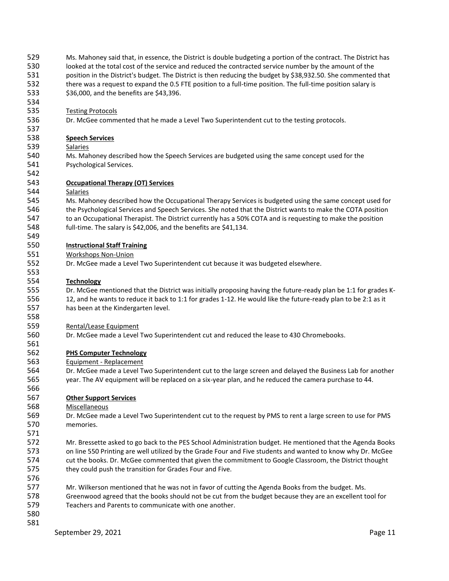| 529 | Ms. Mahoney said that, in essence, the District is double budgeting a portion of the contract. The District has |
|-----|-----------------------------------------------------------------------------------------------------------------|
| 530 | looked at the total cost of the service and reduced the contracted service number by the amount of the          |
| 531 | position in the District's budget. The District is then reducing the budget by \$38,932.50. She commented that  |
| 532 | there was a request to expand the 0.5 FTE position to a full-time position. The full-time position salary is    |
| 533 | \$36,000, and the benefits are \$43,396.                                                                        |
| 534 |                                                                                                                 |
| 535 |                                                                                                                 |
|     | <b>Testing Protocols</b>                                                                                        |
| 536 | Dr. McGee commented that he made a Level Two Superintendent cut to the testing protocols.                       |
| 537 |                                                                                                                 |
| 538 | <b>Speech Services</b>                                                                                          |
| 539 | <b>Salaries</b>                                                                                                 |
| 540 | Ms. Mahoney described how the Speech Services are budgeted using the same concept used for the                  |
| 541 | Psychological Services.                                                                                         |
| 542 |                                                                                                                 |
| 543 | <b>Occupational Therapy (OT) Services</b>                                                                       |
| 544 | Salaries                                                                                                        |
| 545 | Ms. Mahoney described how the Occupational Therapy Services is budgeted using the same concept used for         |
| 546 | the Psychological Services and Speech Services. She noted that the District wants to make the COTA position     |
| 547 |                                                                                                                 |
|     | to an Occupational Therapist. The District currently has a 50% COTA and is requesting to make the position      |
| 548 | full-time. The salary is \$42,006, and the benefits are \$41,134.                                               |
| 549 |                                                                                                                 |
| 550 | <b>Instructional Staff Training</b>                                                                             |
| 551 | <b>Workshops Non-Union</b>                                                                                      |
| 552 | Dr. McGee made a Level Two Superintendent cut because it was budgeted elsewhere.                                |
| 553 |                                                                                                                 |
| 554 | <b>Technology</b>                                                                                               |
| 555 | Dr. McGee mentioned that the District was initially proposing having the future-ready plan be 1:1 for grades K- |
| 556 | 12, and he wants to reduce it back to 1:1 for grades 1-12. He would like the future-ready plan to be 2:1 as it  |
| 557 | has been at the Kindergarten level.                                                                             |
| 558 |                                                                                                                 |
| 559 | Rental/Lease Equipment                                                                                          |
| 560 |                                                                                                                 |
|     | Dr. McGee made a Level Two Superintendent cut and reduced the lease to 430 Chromebooks.                         |
| 561 |                                                                                                                 |
| 562 | <b>PHS Computer Technology</b>                                                                                  |
| 563 | Equipment - Replacement                                                                                         |
| 564 | Dr. McGee made a Level Two Superintendent cut to the large screen and delayed the Business Lab for another      |
| 565 | year. The AV equipment will be replaced on a six-year plan, and he reduced the camera purchase to 44.           |
| 566 |                                                                                                                 |
| 567 | <b>Other Support Services</b>                                                                                   |
| 568 | <b>Miscellaneous</b>                                                                                            |
| 569 | Dr. McGee made a Level Two Superintendent cut to the request by PMS to rent a large screen to use for PMS       |
| 570 | memories.                                                                                                       |
| 571 |                                                                                                                 |
| 572 | Mr. Bressette asked to go back to the PES School Administration budget. He mentioned that the Agenda Books      |
| 573 |                                                                                                                 |
|     | on line 550 Printing are well utilized by the Grade Four and Five students and wanted to know why Dr. McGee     |
| 574 | cut the books. Dr. McGee commented that given the commitment to Google Classroom, the District thought          |
| 575 | they could push the transition for Grades Four and Five.                                                        |
| 576 |                                                                                                                 |
| 577 | Mr. Wilkerson mentioned that he was not in favor of cutting the Agenda Books from the budget. Ms.               |
| 578 | Greenwood agreed that the books should not be cut from the budget because they are an excellent tool for        |
| 579 | Teachers and Parents to communicate with one another.                                                           |
| 580 |                                                                                                                 |
| 581 |                                                                                                                 |
|     | September 29, 2021<br>Page 11                                                                                   |
|     |                                                                                                                 |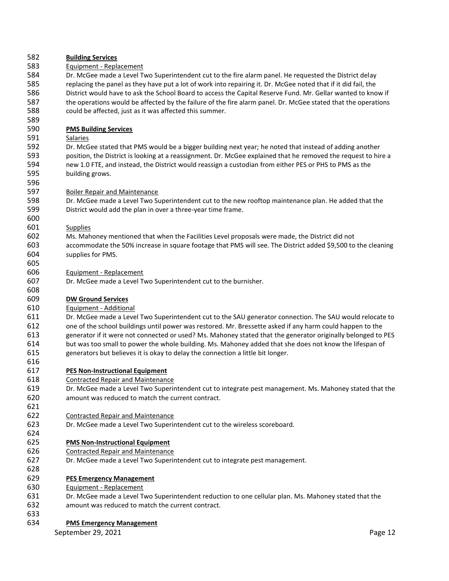| 582 | <b>Building Services</b>                                                                                       |
|-----|----------------------------------------------------------------------------------------------------------------|
| 583 | Equipment - Replacement                                                                                        |
| 584 | Dr. McGee made a Level Two Superintendent cut to the fire alarm panel. He requested the District delay         |
| 585 | replacing the panel as they have put a lot of work into repairing it. Dr. McGee noted that if it did fail, the |
| 586 | District would have to ask the School Board to access the Capital Reserve Fund. Mr. Gellar wanted to know if   |
| 587 | the operations would be affected by the failure of the fire alarm panel. Dr. McGee stated that the operations  |
| 588 | could be affected, just as it was affected this summer.                                                        |
| 589 |                                                                                                                |
| 590 | <b>PMS Building Services</b>                                                                                   |
| 591 | Salaries                                                                                                       |
| 592 | Dr. McGee stated that PMS would be a bigger building next year; he noted that instead of adding another        |
| 593 | position, the District is looking at a reassignment. Dr. McGee explained that he removed the request to hire a |
| 594 | new 1.0 FTE, and instead, the District would reassign a custodian from either PES or PHS to PMS as the         |
| 595 | building grows.                                                                                                |
| 596 |                                                                                                                |
| 597 |                                                                                                                |
| 598 | <b>Boiler Repair and Maintenance</b>                                                                           |
|     | Dr. McGee made a Level Two Superintendent cut to the new rooftop maintenance plan. He added that the           |
| 599 | District would add the plan in over a three-year time frame.                                                   |
| 600 |                                                                                                                |
| 601 | <b>Supplies</b>                                                                                                |
| 602 | Ms. Mahoney mentioned that when the Facilities Level proposals were made, the District did not                 |
| 603 | accommodate the 50% increase in square footage that PMS will see. The District added \$9,500 to the cleaning   |
| 604 | supplies for PMS.                                                                                              |
| 605 |                                                                                                                |
| 606 | Equipment - Replacement                                                                                        |
| 607 | Dr. McGee made a Level Two Superintendent cut to the burnisher.                                                |
| 608 |                                                                                                                |
| 609 | <b>DW Ground Services</b>                                                                                      |
| 610 | Equipment - Additional                                                                                         |
| 611 | Dr. McGee made a Level Two Superintendent cut to the SAU generator connection. The SAU would relocate to       |
| 612 | one of the school buildings until power was restored. Mr. Bressette asked if any harm could happen to the      |
| 613 | generator if it were not connected or used? Ms. Mahoney stated that the generator originally belonged to PES   |
| 614 | but was too small to power the whole building. Ms. Mahoney added that she does not know the lifespan of        |
| 615 | generators but believes it is okay to delay the connection a little bit longer.                                |
| 616 |                                                                                                                |
| 617 | <b>PES Non-Instructional Equipment</b>                                                                         |
| 618 | <b>Contracted Repair and Maintenance</b>                                                                       |
| 619 | Dr. McGee made a Level Two Superintendent cut to integrate pest management. Ms. Mahoney stated that the        |
| 620 | amount was reduced to match the current contract.                                                              |
| 621 |                                                                                                                |
| 622 | <b>Contracted Repair and Maintenance</b>                                                                       |
| 623 | Dr. McGee made a Level Two Superintendent cut to the wireless scoreboard.                                      |
| 624 |                                                                                                                |
| 625 | <b>PMS Non-Instructional Equipment</b>                                                                         |
| 626 | <b>Contracted Repair and Maintenance</b>                                                                       |
| 627 | Dr. McGee made a Level Two Superintendent cut to integrate pest management.                                    |
| 628 |                                                                                                                |
| 629 | <b>PES Emergency Management</b>                                                                                |
| 630 | Equipment - Replacement                                                                                        |
| 631 | Dr. McGee made a Level Two Superintendent reduction to one cellular plan. Ms. Mahoney stated that the          |
| 632 | amount was reduced to match the current contract.                                                              |
| 633 |                                                                                                                |
| 634 | <b>PMS Emergency Management</b>                                                                                |
|     | September 29, 2021<br>Page 12                                                                                  |
|     |                                                                                                                |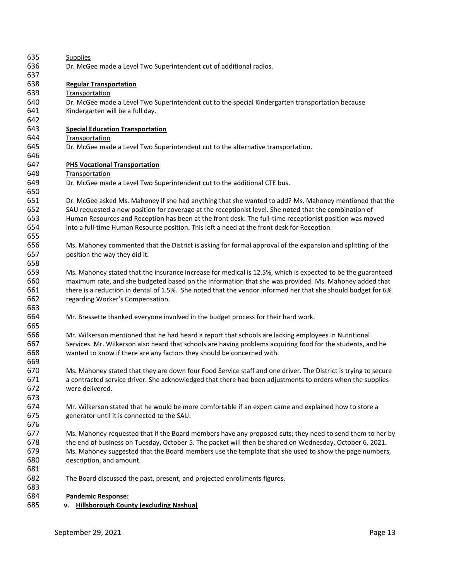| 635 | <b>Supplies</b>                                                                                                |
|-----|----------------------------------------------------------------------------------------------------------------|
| 636 | Dr. McGee made a Level Two Superintendent cut of additional radios.                                            |
| 637 |                                                                                                                |
| 638 | <b>Regular Transportation</b>                                                                                  |
| 639 | Transportation                                                                                                 |
| 640 | Dr. McGee made a Level Two Superintendent cut to the special Kindergarten transportation because               |
| 641 | Kindergarten will be a full day.                                                                               |
| 642 |                                                                                                                |
| 643 | <b>Special Education Transportation</b>                                                                        |
| 644 | Transportation                                                                                                 |
| 645 | Dr. McGee made a Level Two Superintendent cut to the alternative transportation.                               |
| 646 |                                                                                                                |
| 647 | <b>PHS Vocational Transportation</b>                                                                           |
| 648 | Transportation                                                                                                 |
| 649 | Dr. McGee made a Level Two Superintendent cut to the additional CTE bus.                                       |
| 650 |                                                                                                                |
| 651 | Dr. McGee asked Ms. Mahoney if she had anything that she wanted to add? Ms. Mahoney mentioned that the         |
| 652 | SAU requested a new position for coverage at the receptionist level. She noted that the combination of         |
| 653 | Human Resources and Reception has been at the front desk. The full-time receptionist position was moved        |
| 654 | into a full-time Human Resource position. This left a need at the front desk for Reception.                    |
| 655 |                                                                                                                |
| 656 | Ms. Mahoney commented that the District is asking for formal approval of the expansion and splitting of the    |
| 657 | position the way they did it.                                                                                  |
| 658 |                                                                                                                |
| 659 | Ms. Mahoney stated that the insurance increase for medical is 12.5%, which is expected to be the guaranteed    |
| 660 | maximum rate, and she budgeted based on the information that she was provided. Ms. Mahoney added that          |
| 661 | there is a reduction in dental of 1.5%. She noted that the vendor informed her that she should budget for 6%   |
| 662 | regarding Worker's Compensation.                                                                               |
| 663 |                                                                                                                |
| 664 | Mr. Bressette thanked everyone involved in the budget process for their hard work.                             |
| 665 |                                                                                                                |
| 666 | Mr. Wilkerson mentioned that he had heard a report that schools are lacking employees in Nutritional           |
| 667 | Services. Mr. Wilkerson also heard that schools are having problems acquiring food for the students, and he    |
| 668 | wanted to know if there are any factors they should be concerned with.                                         |
| 669 |                                                                                                                |
| 670 | Ms. Mahoney stated that they are down four Food Service staff and one driver. The District is trying to secure |
| 671 | a contracted service driver. She acknowledged that there had been adjustments to orders when the supplies      |
| 672 | were delivered.                                                                                                |
| 673 |                                                                                                                |
| 674 | Mr. Wilkerson stated that he would be more comfortable if an expert came and explained how to store a          |
| 675 | generator until it is connected to the SAU.                                                                    |
| 676 |                                                                                                                |
| 677 | Ms. Mahoney requested that if the Board members have any proposed cuts; they need to send them to her by       |
| 678 | the end of business on Tuesday, October 5. The packet will then be shared on Wednesday, October 6, 2021.       |
| 679 | Ms. Mahoney suggested that the Board members use the template that she used to show the page numbers,          |
| 680 | description, and amount.                                                                                       |
| 681 |                                                                                                                |
| 682 | The Board discussed the past, present, and projected enrollments figures.                                      |
| 683 |                                                                                                                |
| 684 | <b>Pandemic Response:</b>                                                                                      |
| 685 | <b>Hillsborough County (excluding Nashua)</b><br>v.                                                            |
|     |                                                                                                                |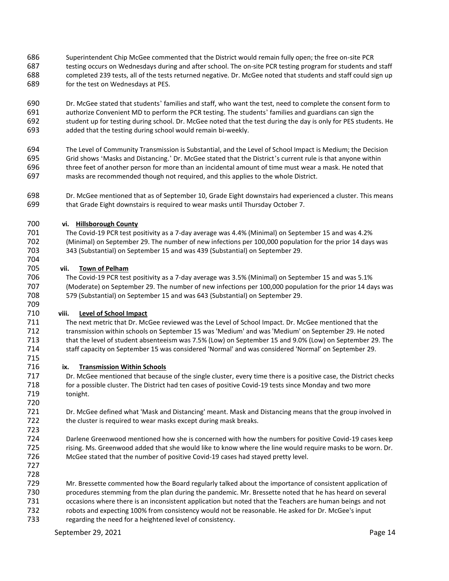Superintendent Chip McGee commented that the District would remain fully open; the free on-site PCR 687 testing occurs on Wednesdays during and after school. The on-site PCR testing program for students and staff completed 239 tests, all of the tests returned negative. Dr. McGee noted that students and staff could sign up for the test on Wednesdays at PES.

 Dr. McGee stated that students' families and staff, who want the test, need to complete the consent form to authorize Convenient MD to perform the PCR testing. The students' families and guardians can sign the student up for testing during school. Dr. McGee noted that the test during the day is only for PES students. He added that the testing during school would remain bi-weekly.

- The Level of Community Transmission is Substantial, and the Level of School Impact is Medium; the Decision Grid shows 'Masks and Distancing.' Dr. McGee stated that the District's current rule is that anyone within three feet of another person for more than an incidental amount of time must wear a mask. He noted that masks are recommended though not required, and this applies to the whole District.
- Dr. McGee mentioned that as of September 10, Grade Eight downstairs had experienced a cluster. This means that Grade Eight downstairs is required to wear masks until Thursday October 7.

### **vi. Hillsborough County**

 The Covid-19 PCR test positivity as a 7-day average was 4.4% (Minimal) on September 15 and was 4.2% (Minimal) on September 29. The number of new infections per 100,000 population for the prior 14 days was 343 (Substantial) on September 15 and was 439 (Substantial) on September 29.

### **vii. Town of Pelham**

 The Covid-19 PCR test positivity as a 7-day average was 3.5% (Minimal) on September 15 and was 5.1% (Moderate) on September 29. The number of new infections per 100,000 population for the prior 14 days was 579 (Substantial) on September 15 and was 643 (Substantial) on September 29.

### **viii. Level of School Impact**

 The next metric that Dr. McGee reviewed was the Level of School Impact. Dr. McGee mentioned that the transmission within schools on September 15 was 'Medium' and was 'Medium' on September 29. He noted that the level of student absenteeism was 7.5% (Low) on September 15 and 9.0% (Low) on September 29. The staff capacity on September 15 was considered 'Normal' and was considered 'Normal' on September 29.

### **ix. Transmission Within Schools**

 Dr. McGee mentioned that because of the single cluster, every time there is a positive case, the District checks for a possible cluster. The District had ten cases of positive Covid-19 tests since Monday and two more tonight.

 Dr. McGee defined what 'Mask and Distancing' meant. Mask and Distancing means that the group involved in 722 the cluster is required to wear masks except during mask breaks.

- Darlene Greenwood mentioned how she is concerned with how the numbers for positive Covid-19 cases keep rising. Ms. Greenwood added that she would like to know where the line would require masks to be worn. Dr. McGee stated that the number of positive Covid-19 cases had stayed pretty level.
- 

 Mr. Bressette commented how the Board regularly talked about the importance of consistent application of procedures stemming from the plan during the pandemic. Mr. Bressette noted that he has heard on several occasions where there is an inconsistent application but noted that the Teachers are human beings and not robots and expecting 100% from consistency would not be reasonable. He asked for Dr. McGee's input

regarding the need for a heightened level of consistency.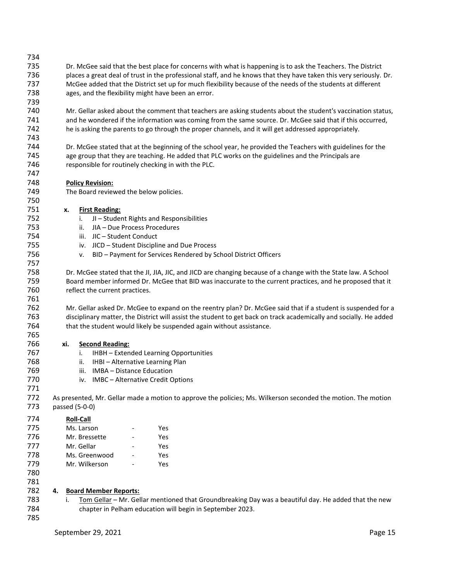| 734<br>735<br>736<br>737<br>738<br>739        | Dr. McGee said that the best place for concerns with what is happening is to ask the Teachers. The District<br>places a great deal of trust in the professional staff, and he knows that they have taken this very seriously. Dr.<br>McGee added that the District set up for much flexibility because of the needs of the students at different<br>ages, and the flexibility might have been an error.                                                                                              |  |  |  |  |  |  |  |  |  |  |
|-----------------------------------------------|------------------------------------------------------------------------------------------------------------------------------------------------------------------------------------------------------------------------------------------------------------------------------------------------------------------------------------------------------------------------------------------------------------------------------------------------------------------------------------------------------|--|--|--|--|--|--|--|--|--|--|
| 740<br>741<br>742                             | Mr. Gellar asked about the comment that teachers are asking students about the student's vaccination status,<br>and he wondered if the information was coming from the same source. Dr. McGee said that if this occurred,<br>he is asking the parents to go through the proper channels, and it will get addressed appropriately.                                                                                                                                                                    |  |  |  |  |  |  |  |  |  |  |
| 743<br>744<br>745<br>746                      | Dr. McGee stated that at the beginning of the school year, he provided the Teachers with guidelines for the<br>age group that they are teaching. He added that PLC works on the guidelines and the Principals are<br>responsible for routinely checking in with the PLC.                                                                                                                                                                                                                             |  |  |  |  |  |  |  |  |  |  |
| 747<br>748<br>749<br>750                      | <b>Policy Revision:</b><br>The Board reviewed the below policies.                                                                                                                                                                                                                                                                                                                                                                                                                                    |  |  |  |  |  |  |  |  |  |  |
| 751<br>752<br>753<br>754<br>755<br>756<br>757 | <b>First Reading:</b><br>x.<br>JI - Student Rights and Responsibilities<br>i.<br>JIA - Due Process Procedures<br>ii.<br>iii. JIC - Student Conduct<br>iv. JICD - Student Discipline and Due Process<br>BID - Payment for Services Rendered by School District Officers<br>v.                                                                                                                                                                                                                         |  |  |  |  |  |  |  |  |  |  |
| 758<br>759<br>760<br>761<br>762<br>763        | Dr. McGee stated that the JI, JIA, JIC, and JICD are changing because of a change with the State law. A School<br>Board member informed Dr. McGee that BID was inaccurate to the current practices, and he proposed that it<br>reflect the current practices.<br>Mr. Gellar asked Dr. McGee to expand on the reentry plan? Dr. McGee said that if a student is suspended for a<br>disciplinary matter, the District will assist the student to get back on track academically and socially. He added |  |  |  |  |  |  |  |  |  |  |
| 764<br>765<br>766                             | that the student would likely be suspended again without assistance.<br><b>Second Reading:</b><br>xi.                                                                                                                                                                                                                                                                                                                                                                                                |  |  |  |  |  |  |  |  |  |  |
| 767                                           | IHBH - Extended Learning Opportunities<br>i.                                                                                                                                                                                                                                                                                                                                                                                                                                                         |  |  |  |  |  |  |  |  |  |  |
| 768                                           | IHBI - Alternative Learning Plan<br>ii.                                                                                                                                                                                                                                                                                                                                                                                                                                                              |  |  |  |  |  |  |  |  |  |  |
| 769                                           | iii. IMBA - Distance Education                                                                                                                                                                                                                                                                                                                                                                                                                                                                       |  |  |  |  |  |  |  |  |  |  |
| 770                                           | IMBC – Alternative Credit Options<br>iv.                                                                                                                                                                                                                                                                                                                                                                                                                                                             |  |  |  |  |  |  |  |  |  |  |
| 771                                           |                                                                                                                                                                                                                                                                                                                                                                                                                                                                                                      |  |  |  |  |  |  |  |  |  |  |
| 772<br>773                                    | As presented, Mr. Gellar made a motion to approve the policies; Ms. Wilkerson seconded the motion. The motion<br>passed (5-0-0)                                                                                                                                                                                                                                                                                                                                                                      |  |  |  |  |  |  |  |  |  |  |
| 774                                           | <b>Roll-Call</b>                                                                                                                                                                                                                                                                                                                                                                                                                                                                                     |  |  |  |  |  |  |  |  |  |  |
| 775                                           | Ms. Larson<br>Yes                                                                                                                                                                                                                                                                                                                                                                                                                                                                                    |  |  |  |  |  |  |  |  |  |  |
| 776                                           | Mr. Bressette<br>Yes                                                                                                                                                                                                                                                                                                                                                                                                                                                                                 |  |  |  |  |  |  |  |  |  |  |
| 777                                           | Mr. Gellar<br>Yes                                                                                                                                                                                                                                                                                                                                                                                                                                                                                    |  |  |  |  |  |  |  |  |  |  |
| 778                                           | Ms. Greenwood<br>Yes                                                                                                                                                                                                                                                                                                                                                                                                                                                                                 |  |  |  |  |  |  |  |  |  |  |
| 779                                           | Mr. Wilkerson<br>Yes                                                                                                                                                                                                                                                                                                                                                                                                                                                                                 |  |  |  |  |  |  |  |  |  |  |
| 780                                           |                                                                                                                                                                                                                                                                                                                                                                                                                                                                                                      |  |  |  |  |  |  |  |  |  |  |
| 781                                           |                                                                                                                                                                                                                                                                                                                                                                                                                                                                                                      |  |  |  |  |  |  |  |  |  |  |
| 782                                           | <b>Board Member Reports:</b><br>4.                                                                                                                                                                                                                                                                                                                                                                                                                                                                   |  |  |  |  |  |  |  |  |  |  |
| 783                                           | Tom Gellar - Mr. Gellar mentioned that Groundbreaking Day was a beautiful day. He added that the new<br>i.                                                                                                                                                                                                                                                                                                                                                                                           |  |  |  |  |  |  |  |  |  |  |
| 784                                           | chapter in Pelham education will begin in September 2023.                                                                                                                                                                                                                                                                                                                                                                                                                                            |  |  |  |  |  |  |  |  |  |  |
| 785                                           |                                                                                                                                                                                                                                                                                                                                                                                                                                                                                                      |  |  |  |  |  |  |  |  |  |  |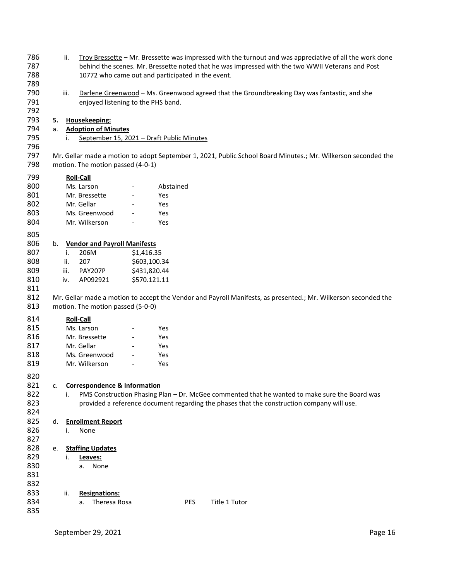| 786 |    | ii.  | Troy Bressette - Mr. Bressette was impressed with the turnout and was appreciative of all the work done |                              |            |  |                                                                                                                |  |  |  |  |
|-----|----|------|---------------------------------------------------------------------------------------------------------|------------------------------|------------|--|----------------------------------------------------------------------------------------------------------------|--|--|--|--|
| 787 |    |      | behind the scenes. Mr. Bressette noted that he was impressed with the two WWII Veterans and Post        |                              |            |  |                                                                                                                |  |  |  |  |
| 788 |    |      | 10772 who came out and participated in the event.                                                       |                              |            |  |                                                                                                                |  |  |  |  |
| 789 |    |      |                                                                                                         |                              |            |  |                                                                                                                |  |  |  |  |
| 790 |    | iii. |                                                                                                         |                              |            |  | Darlene Greenwood - Ms. Greenwood agreed that the Groundbreaking Day was fantastic, and she                    |  |  |  |  |
| 791 |    |      | enjoyed listening to the PHS band.                                                                      |                              |            |  |                                                                                                                |  |  |  |  |
|     |    |      |                                                                                                         |                              |            |  |                                                                                                                |  |  |  |  |
| 792 |    |      |                                                                                                         |                              |            |  |                                                                                                                |  |  |  |  |
| 793 | 5. |      | Housekeeping:                                                                                           |                              |            |  |                                                                                                                |  |  |  |  |
| 794 | a. |      | <b>Adoption of Minutes</b>                                                                              |                              |            |  |                                                                                                                |  |  |  |  |
| 795 |    | i.   | September 15, 2021 - Draft Public Minutes                                                               |                              |            |  |                                                                                                                |  |  |  |  |
| 796 |    |      |                                                                                                         |                              |            |  |                                                                                                                |  |  |  |  |
| 797 |    |      |                                                                                                         |                              |            |  | Mr. Gellar made a motion to adopt September 1, 2021, Public School Board Minutes.; Mr. Wilkerson seconded the  |  |  |  |  |
| 798 |    |      | motion. The motion passed (4-0-1)                                                                       |                              |            |  |                                                                                                                |  |  |  |  |
|     |    |      |                                                                                                         |                              |            |  |                                                                                                                |  |  |  |  |
| 799 |    |      | <b>Roll-Call</b>                                                                                        |                              |            |  |                                                                                                                |  |  |  |  |
| 800 |    |      | Ms. Larson                                                                                              | $\overline{\phantom{a}}$     | Abstained  |  |                                                                                                                |  |  |  |  |
| 801 |    |      | Mr. Bressette                                                                                           |                              | Yes        |  |                                                                                                                |  |  |  |  |
| 802 |    |      | Mr. Gellar                                                                                              |                              | Yes        |  |                                                                                                                |  |  |  |  |
| 803 |    |      | Ms. Greenwood                                                                                           |                              | Yes        |  |                                                                                                                |  |  |  |  |
| 804 |    |      | Mr. Wilkerson                                                                                           |                              | Yes        |  |                                                                                                                |  |  |  |  |
|     |    |      |                                                                                                         |                              |            |  |                                                                                                                |  |  |  |  |
| 805 |    |      |                                                                                                         |                              |            |  |                                                                                                                |  |  |  |  |
| 806 | b. |      | <b>Vendor and Payroll Manifests</b>                                                                     |                              |            |  |                                                                                                                |  |  |  |  |
| 807 |    | i.   | 206M                                                                                                    | \$1,416.35                   |            |  |                                                                                                                |  |  |  |  |
| 808 |    | ii.  | 207                                                                                                     | \$603,100.34                 |            |  |                                                                                                                |  |  |  |  |
| 809 |    | iii. | PAY207P                                                                                                 | \$431,820.44                 |            |  |                                                                                                                |  |  |  |  |
| 810 |    | iv.  | AP092921                                                                                                | \$570.121.11                 |            |  |                                                                                                                |  |  |  |  |
|     |    |      |                                                                                                         |                              |            |  |                                                                                                                |  |  |  |  |
| 811 |    |      |                                                                                                         |                              |            |  |                                                                                                                |  |  |  |  |
| 812 |    |      |                                                                                                         |                              |            |  | Mr. Gellar made a motion to accept the Vendor and Payroll Manifests, as presented.; Mr. Wilkerson seconded the |  |  |  |  |
| 813 |    |      | motion. The motion passed (5-0-0)                                                                       |                              |            |  |                                                                                                                |  |  |  |  |
| 814 |    |      | <b>Roll-Call</b>                                                                                        |                              |            |  |                                                                                                                |  |  |  |  |
| 815 |    |      | Ms. Larson                                                                                              | $\overline{\phantom{0}}$     | Yes        |  |                                                                                                                |  |  |  |  |
|     |    |      |                                                                                                         |                              |            |  |                                                                                                                |  |  |  |  |
| 816 |    |      | Mr. Bressette                                                                                           |                              | Yes        |  |                                                                                                                |  |  |  |  |
| 817 |    |      | Mr. Gellar                                                                                              |                              | Yes        |  |                                                                                                                |  |  |  |  |
| 818 |    |      | Ms. Greenwood                                                                                           |                              | Yes        |  |                                                                                                                |  |  |  |  |
| 819 |    |      | Mr. Wilkerson                                                                                           | $\qquad \qquad \blacksquare$ | Yes        |  |                                                                                                                |  |  |  |  |
|     |    |      |                                                                                                         |                              |            |  |                                                                                                                |  |  |  |  |
| 820 |    |      |                                                                                                         |                              |            |  |                                                                                                                |  |  |  |  |
| 821 | c. |      | <b>Correspondence &amp; Information</b>                                                                 |                              |            |  |                                                                                                                |  |  |  |  |
| 822 |    | i.   |                                                                                                         |                              |            |  | PMS Construction Phasing Plan - Dr. McGee commented that he wanted to make sure the Board was                  |  |  |  |  |
| 823 |    |      |                                                                                                         |                              |            |  | provided a reference document regarding the phases that the construction company will use.                     |  |  |  |  |
| 824 |    |      |                                                                                                         |                              |            |  |                                                                                                                |  |  |  |  |
| 825 | d. |      | <b>Enrollment Report</b>                                                                                |                              |            |  |                                                                                                                |  |  |  |  |
| 826 |    | i.   | None                                                                                                    |                              |            |  |                                                                                                                |  |  |  |  |
| 827 |    |      |                                                                                                         |                              |            |  |                                                                                                                |  |  |  |  |
|     |    |      |                                                                                                         |                              |            |  |                                                                                                                |  |  |  |  |
| 828 | e. |      | <b>Staffing Updates</b>                                                                                 |                              |            |  |                                                                                                                |  |  |  |  |
| 829 |    | i.   | Leaves:                                                                                                 |                              |            |  |                                                                                                                |  |  |  |  |
| 830 |    |      | None<br>a.                                                                                              |                              |            |  |                                                                                                                |  |  |  |  |
| 831 |    |      |                                                                                                         |                              |            |  |                                                                                                                |  |  |  |  |
| 832 |    |      |                                                                                                         |                              |            |  |                                                                                                                |  |  |  |  |
| 833 |    | ii.  | <b>Resignations:</b>                                                                                    |                              |            |  |                                                                                                                |  |  |  |  |
| 834 |    |      | Theresa Rosa<br>a.                                                                                      |                              | <b>PES</b> |  | Title 1 Tutor                                                                                                  |  |  |  |  |
| 835 |    |      |                                                                                                         |                              |            |  |                                                                                                                |  |  |  |  |
|     |    |      |                                                                                                         |                              |            |  |                                                                                                                |  |  |  |  |